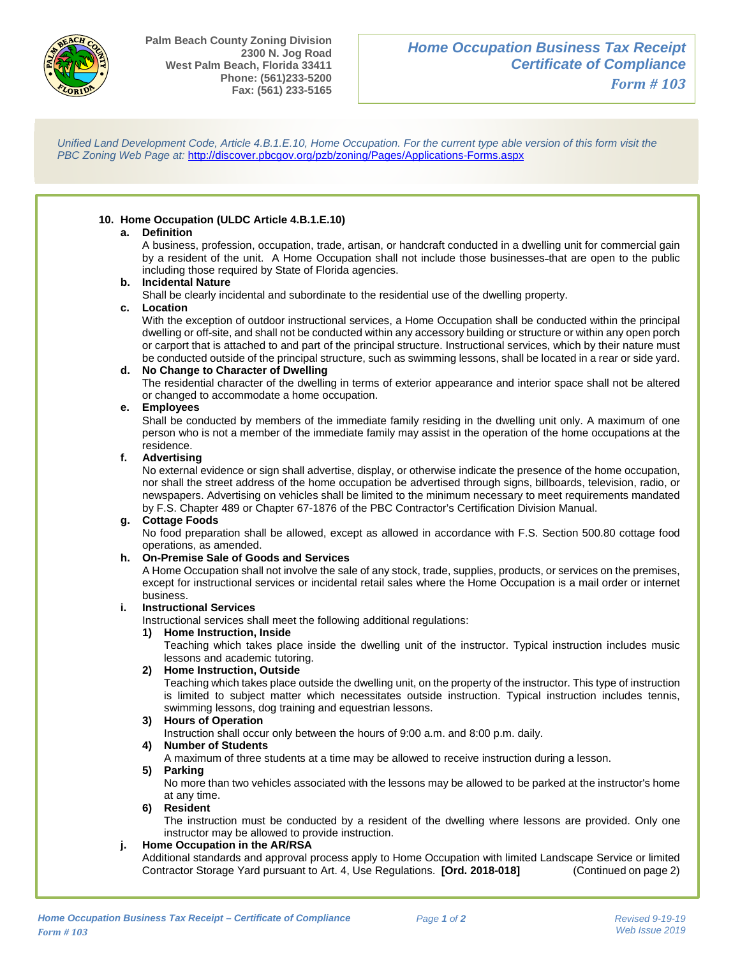

I

1-

*Unified Land Development Code, Article 4.B.1.E.10, Home Occupation. For the current type able version of this form visit the PBC Zoning Web Page at:* <http://discover.pbcgov.org/pzb/zoning/Pages/Applications-Forms.aspx>

# **10. Home Occupation (ULDC Article 4.B.1.E.10)**

## **a. Definition**

 A business, profession, occupation, trade, artisan, or handcraft conducted in a dwelling unit for commercial gain by a resident of the unit. A Home Occupation shall not include those businesses that are open to the public including those required by State of Florida agencies.

## **b. Incidental Nature**

Shall be clearly incidental and subordinate to the residential use of the dwelling property.

#### **c. Location**

 With the exception of outdoor instructional services, a Home Occupation shall be conducted within the principal dwelling or off-site, and shall not be conducted within any accessory building or structure or within any open porch or carport that is attached to and part of the principal structure. Instructional services, which by their nature must be conducted outside of the principal structure, such as swimming lessons, shall be located in a rear or side yard.

#### **d. No Change to Character of Dwelling**

 The residential character of the dwelling in terms of exterior appearance and interior space shall not be altered or changed to accommodate a home occupation.

#### **e. Employees**

 person who is not a member of the immediate family may assist in the operation of the home occupations at the Shall be conducted by members of the immediate family residing in the dwelling unit only. A maximum of one residence.

#### **f. Advertising**

 No external evidence or sign shall advertise, display, or otherwise indicate the presence of the home occupation, nor shall the street address of the home occupation be advertised through signs, billboards, television, radio, or newspapers. Advertising on vehicles shall be limited to the minimum necessary to meet requirements mandated by F.S. Chapter 489 or Chapter 67-1876 of the PBC Contractor's Certification Division Manual.

#### **g. Cottage Foods**

No food preparation shall be allowed, except as allowed in accordance with F.S. Section 500.80 cottage food operations, as amended.

## **h. On-Premise Sale of Goods and Services**

 A Home Occupation shall not involve the sale of any stock, trade, supplies, products, or services on the premises, except for instructional services or incidental retail sales where the Home Occupation is a mail order or internet business.

## **i. Instructional Services**

Instructional services shall meet the following additional regulations:

# **1) Home Instruction, Inside**

Teaching which takes place inside the dwelling unit of the instructor. Typical instruction includes music lessons and academic tutoring.

#### **2) Home Instruction, Outside**

Teaching which takes place outside the dwelling unit, on the property of the instructor. This type of instruction is limited to subject matter which necessitates outside instruction. Typical instruction includes tennis, swimming lessons, dog training and equestrian lessons.

## **3) Hours of Operation**

 Instruction shall occur only between the hours of 9:00 a.m. and 8:00 p.m. daily.

# **4) Number of Students**

A maximum of three students at a time may be allowed to receive instruction during a lesson.

#### **5) Parking**

 No more than two vehicles associated with the lessons may be allowed to be parked at the instructor's home at any time.

#### **6) Resident**

The instruction must be conducted by a resident of the dwelling where lessons are provided. Only one instructor may be allowed to provide instruction.

# **j. Home Occupation in the AR/RSA**

 Additional standards and approval process apply to Home Occupation with limited Landscape Service or limited Contractor Storage Yard pursuant to Art. 4, Use Regulations. **[Ord. 2018-018]** (Continued on page 2)

I